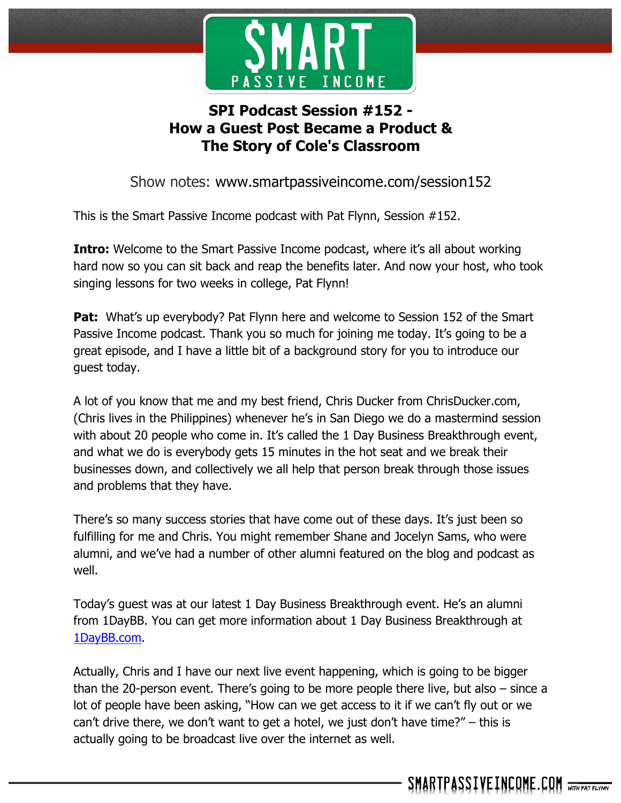

# **SPI Podcast Session #152 - How a Guest Post Became a Product & The Story of Cole's Classroom**

Show notes: www.smartpassiveincome.com/session152

This is the Smart Passive Income podcast with Pat Flynn, Session #152.

**Intro:** Welcome to the Smart Passive Income podcast, where it's all about working hard now so you can sit back and reap the benefits later. And now your host, who took singing lessons for two weeks in college, Pat Flynn!

**Pat:** What's up everybody? Pat Flynn here and welcome to Session 152 of the Smart Passive Income podcast. Thank you so much for joining me today. It's going to be a great episode, and I have a little bit of a background story for you to introduce our guest today.

A lot of you know that me and my best friend, Chris Ducker from ChrisDucker.com, (Chris lives in the Philippines) whenever he's in San Diego we do a mastermind session with about 20 people who come in. It's called the 1 Day Business Breakthrough event, and what we do is everybody gets 15 minutes in the hot seat and we break their businesses down, and collectively we all help that person break through those issues and problems that they have.

There's so many success stories that have come out of these days. It's just been so fulfilling for me and Chris. You might remember Shane and Jocelyn Sams, who were alumni, and we've had a number of other alumni featured on the blog and podcast as well.

Today's guest was at our latest 1 Day Business Breakthrough event. He's an alumni from 1DayBB. You can get more information about 1 Day Business Breakthrough at 1DayBB.com.

Actually, Chris and I have our next live event happening, which is going to be bigger than the 20-person event. There's going to be more people there live, but also – since a lot of people have been asking, "How can we get access to it if we can't fly out or we can't drive there, we don't want to get a hotel, we just don't have time?" – this is actually going to be broadcast live over the internet as well.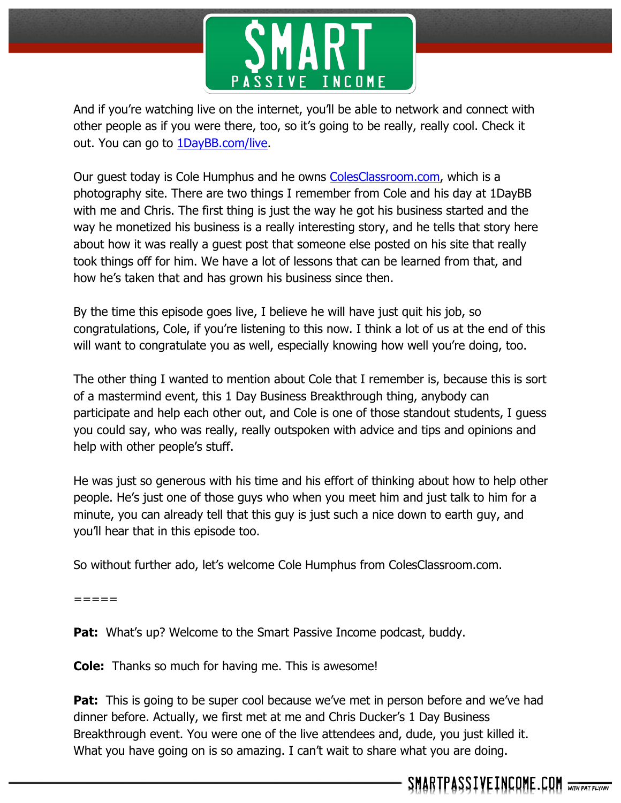

And if you're watching live on the internet, you'll be able to network and connect with other people as if you were there, too, so it's going to be really, really cool. Check it out. You can go to 1DayBB.com/live.

Our guest today is Cole Humphus and he owns ColesClassroom.com, which is a photography site. There are two things I remember from Cole and his day at 1DayBB with me and Chris. The first thing is just the way he got his business started and the way he monetized his business is a really interesting story, and he tells that story here about how it was really a guest post that someone else posted on his site that really took things off for him. We have a lot of lessons that can be learned from that, and how he's taken that and has grown his business since then.

By the time this episode goes live, I believe he will have just quit his job, so congratulations, Cole, if you're listening to this now. I think a lot of us at the end of this will want to congratulate you as well, especially knowing how well you're doing, too.

The other thing I wanted to mention about Cole that I remember is, because this is sort of a mastermind event, this 1 Day Business Breakthrough thing, anybody can participate and help each other out, and Cole is one of those standout students, I guess you could say, who was really, really outspoken with advice and tips and opinions and help with other people's stuff.

He was just so generous with his time and his effort of thinking about how to help other people. He's just one of those guys who when you meet him and just talk to him for a minute, you can already tell that this guy is just such a nice down to earth guy, and you'll hear that in this episode too.

So without further ado, let's welcome Cole Humphus from ColesClassroom.com.

=====

**Pat:** What's up? Welcome to the Smart Passive Income podcast, buddy.

**Cole:** Thanks so much for having me. This is awesome!

**Pat:** This is going to be super cool because we've met in person before and we've had dinner before. Actually, we first met at me and Chris Ducker's 1 Day Business Breakthrough event. You were one of the live attendees and, dude, you just killed it. What you have going on is so amazing. I can't wait to share what you are doing.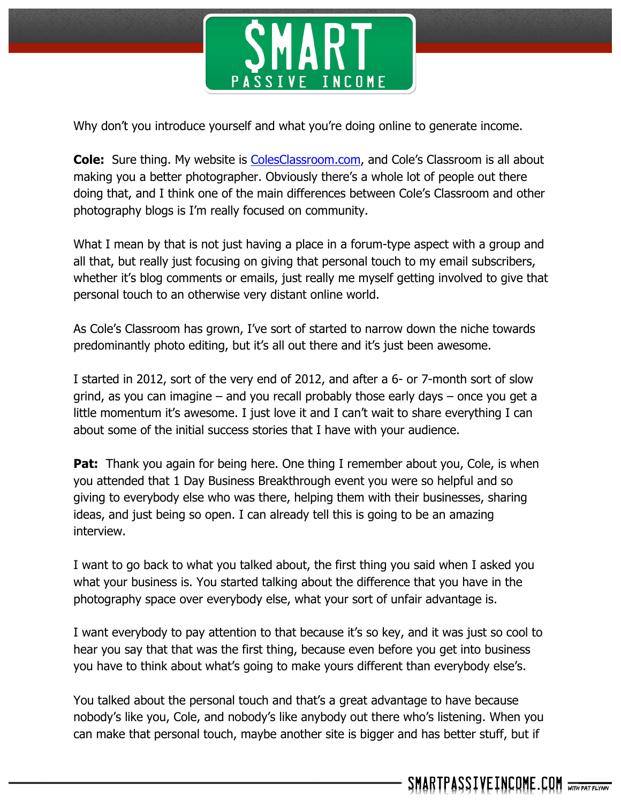

Why don't you introduce yourself and what you're doing online to generate income.

**Cole:** Sure thing. My website is ColesClassroom.com, and Cole's Classroom is all about making you a better photographer. Obviously there's a whole lot of people out there doing that, and I think one of the main differences between Cole's Classroom and other photography blogs is I'm really focused on community.

What I mean by that is not just having a place in a forum-type aspect with a group and all that, but really just focusing on giving that personal touch to my email subscribers, whether it's blog comments or emails, just really me myself getting involved to give that personal touch to an otherwise very distant online world.

As Cole's Classroom has grown, I've sort of started to narrow down the niche towards predominantly photo editing, but it's all out there and it's just been awesome.

I started in 2012, sort of the very end of 2012, and after a 6- or 7-month sort of slow grind, as you can imagine – and you recall probably those early days – once you get a little momentum it's awesome. I just love it and I can't wait to share everything I can about some of the initial success stories that I have with your audience.

**Pat:** Thank you again for being here. One thing I remember about you, Cole, is when you attended that 1 Day Business Breakthrough event you were so helpful and so giving to everybody else who was there, helping them with their businesses, sharing ideas, and just being so open. I can already tell this is going to be an amazing interview.

I want to go back to what you talked about, the first thing you said when I asked you what your business is. You started talking about the difference that you have in the photography space over everybody else, what your sort of unfair advantage is.

I want everybody to pay attention to that because it's so key, and it was just so cool to hear you say that that was the first thing, because even before you get into business you have to think about what's going to make yours different than everybody else's.

You talked about the personal touch and that's a great advantage to have because nobody's like you, Cole, and nobody's like anybody out there who's listening. When you can make that personal touch, maybe another site is bigger and has better stuff, but if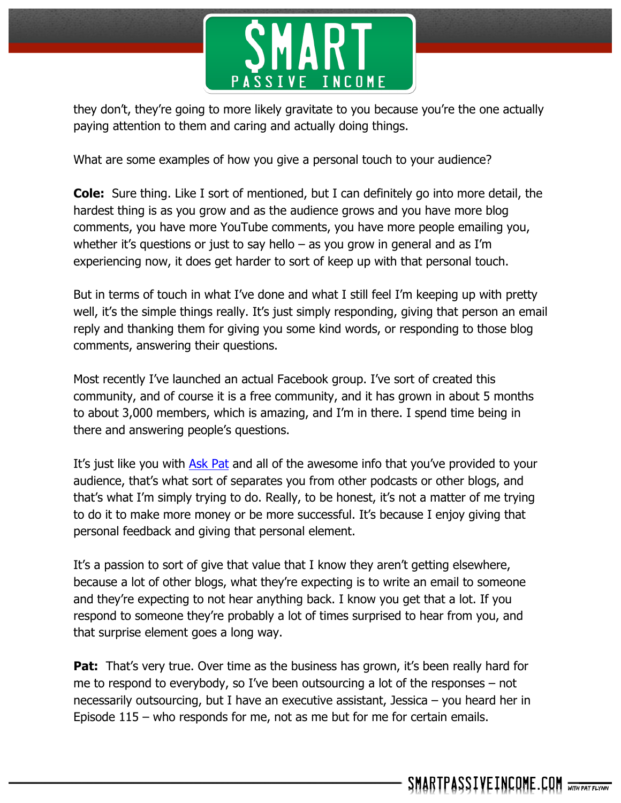

they don't, they're going to more likely gravitate to you because you're the one actually paying attention to them and caring and actually doing things.

What are some examples of how you give a personal touch to your audience?

**Cole:** Sure thing. Like I sort of mentioned, but I can definitely go into more detail, the hardest thing is as you grow and as the audience grows and you have more blog comments, you have more YouTube comments, you have more people emailing you, whether it's questions or just to say hello – as you grow in general and as I'm experiencing now, it does get harder to sort of keep up with that personal touch.

But in terms of touch in what I've done and what I still feel I'm keeping up with pretty well, it's the simple things really. It's just simply responding, giving that person an email reply and thanking them for giving you some kind words, or responding to those blog comments, answering their questions.

Most recently I've launched an actual Facebook group. I've sort of created this community, and of course it is a free community, and it has grown in about 5 months to about 3,000 members, which is amazing, and I'm in there. I spend time being in there and answering people's questions.

It's just like you with Ask Pat and all of the awesome info that you've provided to your audience, that's what sort of separates you from other podcasts or other blogs, and that's what I'm simply trying to do. Really, to be honest, it's not a matter of me trying to do it to make more money or be more successful. It's because I enjoy giving that personal feedback and giving that personal element.

It's a passion to sort of give that value that I know they aren't getting elsewhere, because a lot of other blogs, what they're expecting is to write an email to someone and they're expecting to not hear anything back. I know you get that a lot. If you respond to someone they're probably a lot of times surprised to hear from you, and that surprise element goes a long way.

**Pat:** That's very true. Over time as the business has grown, it's been really hard for me to respond to everybody, so I've been outsourcing a lot of the responses – not necessarily outsourcing, but I have an executive assistant, Jessica – you heard her in Episode 115 – who responds for me, not as me but for me for certain emails.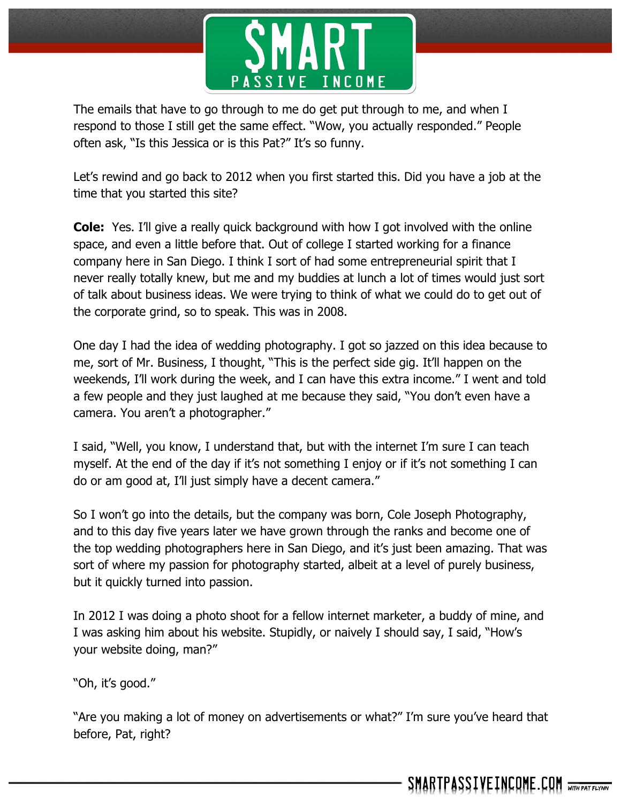

The emails that have to go through to me do get put through to me, and when I respond to those I still get the same effect. "Wow, you actually responded." People often ask, "Is this Jessica or is this Pat?" It's so funny.

Let's rewind and go back to 2012 when you first started this. Did you have a job at the time that you started this site?

**Cole:** Yes. I'll give a really quick background with how I got involved with the online space, and even a little before that. Out of college I started working for a finance company here in San Diego. I think I sort of had some entrepreneurial spirit that I never really totally knew, but me and my buddies at lunch a lot of times would just sort of talk about business ideas. We were trying to think of what we could do to get out of the corporate grind, so to speak. This was in 2008.

One day I had the idea of wedding photography. I got so jazzed on this idea because to me, sort of Mr. Business, I thought, "This is the perfect side gig. It'll happen on the weekends, I'll work during the week, and I can have this extra income." I went and told a few people and they just laughed at me because they said, "You don't even have a camera. You aren't a photographer."

I said, "Well, you know, I understand that, but with the internet I'm sure I can teach myself. At the end of the day if it's not something I enjoy or if it's not something I can do or am good at, I'll just simply have a decent camera."

So I won't go into the details, but the company was born, Cole Joseph Photography, and to this day five years later we have grown through the ranks and become one of the top wedding photographers here in San Diego, and it's just been amazing. That was sort of where my passion for photography started, albeit at a level of purely business, but it quickly turned into passion.

In 2012 I was doing a photo shoot for a fellow internet marketer, a buddy of mine, and I was asking him about his website. Stupidly, or naively I should say, I said, "How's your website doing, man?"

"Oh, it's good."

"Are you making a lot of money on advertisements or what?" I'm sure you've heard that before, Pat, right?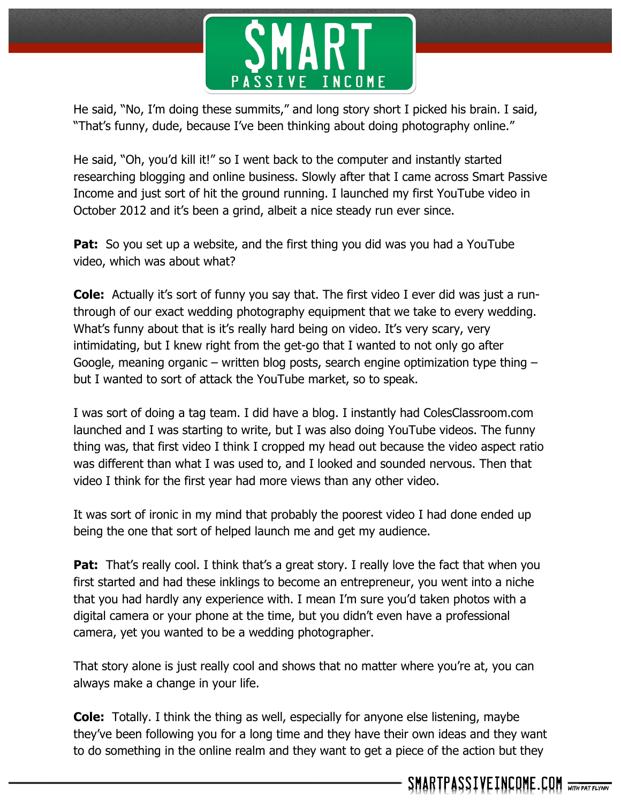

He said, "No, I'm doing these summits," and long story short I picked his brain. I said, "That's funny, dude, because I've been thinking about doing photography online."

He said, "Oh, you'd kill it!" so I went back to the computer and instantly started researching blogging and online business. Slowly after that I came across Smart Passive Income and just sort of hit the ground running. I launched my first YouTube video in October 2012 and it's been a grind, albeit a nice steady run ever since.

**Pat:** So you set up a website, and the first thing you did was you had a YouTube video, which was about what?

**Cole:** Actually it's sort of funny you say that. The first video I ever did was just a runthrough of our exact wedding photography equipment that we take to every wedding. What's funny about that is it's really hard being on video. It's very scary, very intimidating, but I knew right from the get-go that I wanted to not only go after Google, meaning organic – written blog posts, search engine optimization type thing – but I wanted to sort of attack the YouTube market, so to speak.

I was sort of doing a tag team. I did have a blog. I instantly had ColesClassroom.com launched and I was starting to write, but I was also doing YouTube videos. The funny thing was, that first video I think I cropped my head out because the video aspect ratio was different than what I was used to, and I looked and sounded nervous. Then that video I think for the first year had more views than any other video.

It was sort of ironic in my mind that probably the poorest video I had done ended up being the one that sort of helped launch me and get my audience.

**Pat:** That's really cool. I think that's a great story. I really love the fact that when you first started and had these inklings to become an entrepreneur, you went into a niche that you had hardly any experience with. I mean I'm sure you'd taken photos with a digital camera or your phone at the time, but you didn't even have a professional camera, yet you wanted to be a wedding photographer.

That story alone is just really cool and shows that no matter where you're at, you can always make a change in your life.

**Cole:** Totally. I think the thing as well, especially for anyone else listening, maybe they've been following you for a long time and they have their own ideas and they want to do something in the online realm and they want to get a piece of the action but they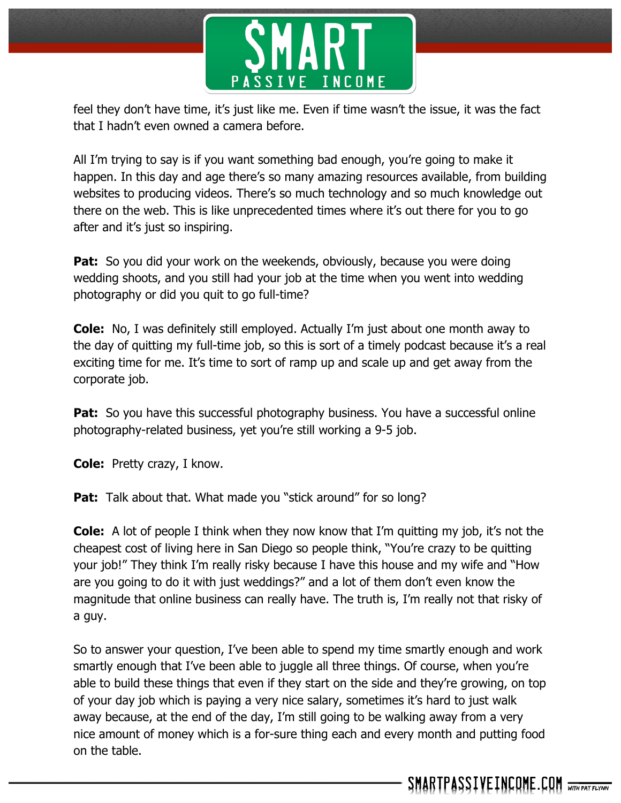

feel they don't have time, it's just like me. Even if time wasn't the issue, it was the fact that I hadn't even owned a camera before.

All I'm trying to say is if you want something bad enough, you're going to make it happen. In this day and age there's so many amazing resources available, from building websites to producing videos. There's so much technology and so much knowledge out there on the web. This is like unprecedented times where it's out there for you to go after and it's just so inspiring.

**Pat:** So you did your work on the weekends, obviously, because you were doing wedding shoots, and you still had your job at the time when you went into wedding photography or did you quit to go full-time?

**Cole:** No, I was definitely still employed. Actually I'm just about one month away to the day of quitting my full-time job, so this is sort of a timely podcast because it's a real exciting time for me. It's time to sort of ramp up and scale up and get away from the corporate job.

**Pat:** So you have this successful photography business. You have a successful online photography-related business, yet you're still working a 9-5 job.

**Cole:** Pretty crazy, I know.

**Pat:** Talk about that. What made you "stick around" for so long?

**Cole:** A lot of people I think when they now know that I'm quitting my job, it's not the cheapest cost of living here in San Diego so people think, "You're crazy to be quitting your job!" They think I'm really risky because I have this house and my wife and "How are you going to do it with just weddings?" and a lot of them don't even know the magnitude that online business can really have. The truth is, I'm really not that risky of a guy.

So to answer your question, I've been able to spend my time smartly enough and work smartly enough that I've been able to juggle all three things. Of course, when you're able to build these things that even if they start on the side and they're growing, on top of your day job which is paying a very nice salary, sometimes it's hard to just walk away because, at the end of the day, I'm still going to be walking away from a very nice amount of money which is a for-sure thing each and every month and putting food on the table.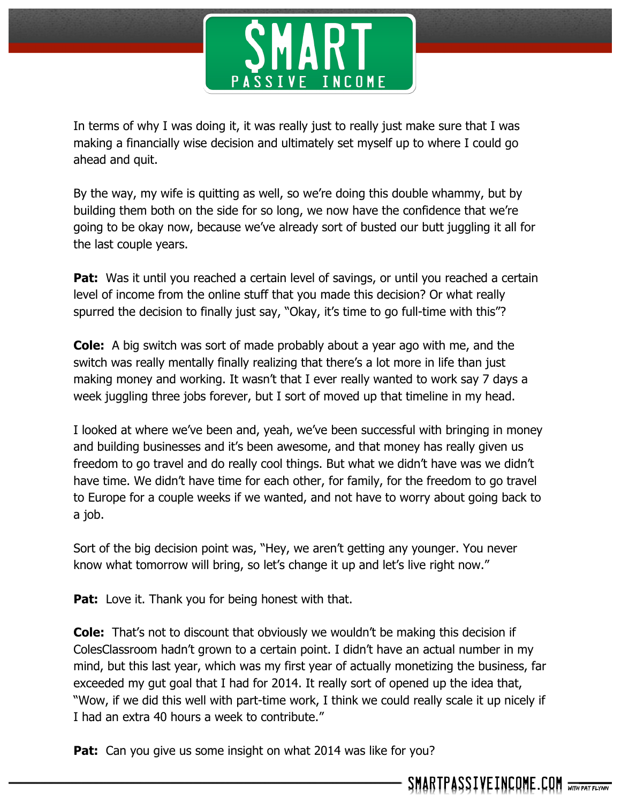

In terms of why I was doing it, it was really just to really just make sure that I was making a financially wise decision and ultimately set myself up to where I could go ahead and quit.

By the way, my wife is quitting as well, so we're doing this double whammy, but by building them both on the side for so long, we now have the confidence that we're going to be okay now, because we've already sort of busted our butt juggling it all for the last couple years.

Pat: Was it until you reached a certain level of savings, or until you reached a certain level of income from the online stuff that you made this decision? Or what really spurred the decision to finally just say, "Okay, it's time to go full-time with this"?

**Cole:** A big switch was sort of made probably about a year ago with me, and the switch was really mentally finally realizing that there's a lot more in life than just making money and working. It wasn't that I ever really wanted to work say 7 days a week juggling three jobs forever, but I sort of moved up that timeline in my head.

I looked at where we've been and, yeah, we've been successful with bringing in money and building businesses and it's been awesome, and that money has really given us freedom to go travel and do really cool things. But what we didn't have was we didn't have time. We didn't have time for each other, for family, for the freedom to go travel to Europe for a couple weeks if we wanted, and not have to worry about going back to a job.

Sort of the big decision point was, "Hey, we aren't getting any younger. You never know what tomorrow will bring, so let's change it up and let's live right now."

**Pat:** Love it. Thank you for being honest with that.

**Cole:** That's not to discount that obviously we wouldn't be making this decision if ColesClassroom hadn't grown to a certain point. I didn't have an actual number in my mind, but this last year, which was my first year of actually monetizing the business, far exceeded my gut goal that I had for 2014. It really sort of opened up the idea that, "Wow, if we did this well with part-time work, I think we could really scale it up nicely if I had an extra 40 hours a week to contribute."

**Pat:** Can you give us some insight on what 2014 was like for you?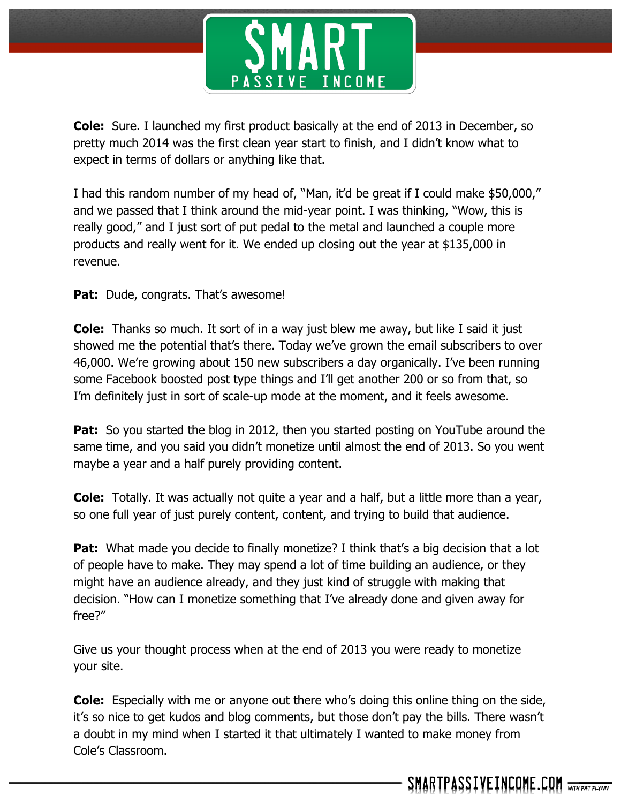

**Cole:** Sure. I launched my first product basically at the end of 2013 in December, so pretty much 2014 was the first clean year start to finish, and I didn't know what to expect in terms of dollars or anything like that.

I had this random number of my head of, "Man, it'd be great if I could make \$50,000," and we passed that I think around the mid-year point. I was thinking, "Wow, this is really good," and I just sort of put pedal to the metal and launched a couple more products and really went for it. We ended up closing out the year at \$135,000 in revenue.

Pat: Dude, congrats. That's awesome!

**Cole:** Thanks so much. It sort of in a way just blew me away, but like I said it just showed me the potential that's there. Today we've grown the email subscribers to over 46,000. We're growing about 150 new subscribers a day organically. I've been running some Facebook boosted post type things and I'll get another 200 or so from that, so I'm definitely just in sort of scale-up mode at the moment, and it feels awesome.

**Pat:** So you started the blog in 2012, then you started posting on YouTube around the same time, and you said you didn't monetize until almost the end of 2013. So you went maybe a year and a half purely providing content.

**Cole:** Totally. It was actually not quite a year and a half, but a little more than a year, so one full year of just purely content, content, and trying to build that audience.

**Pat:** What made you decide to finally monetize? I think that's a big decision that a lot of people have to make. They may spend a lot of time building an audience, or they might have an audience already, and they just kind of struggle with making that decision. "How can I monetize something that I've already done and given away for free?"

Give us your thought process when at the end of 2013 you were ready to monetize your site.

**Cole:** Especially with me or anyone out there who's doing this online thing on the side, it's so nice to get kudos and blog comments, but those don't pay the bills. There wasn't a doubt in my mind when I started it that ultimately I wanted to make money from Cole's Classroom.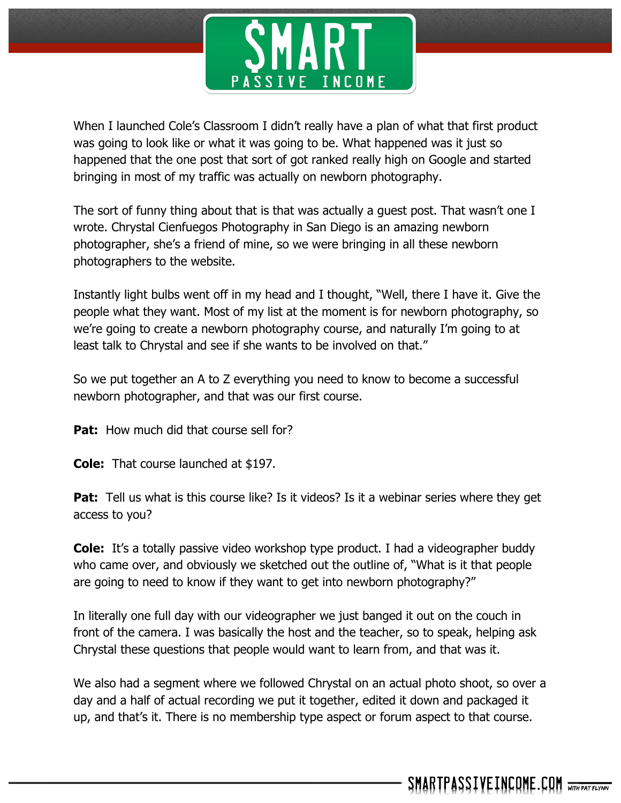

When I launched Cole's Classroom I didn't really have a plan of what that first product was going to look like or what it was going to be. What happened was it just so happened that the one post that sort of got ranked really high on Google and started bringing in most of my traffic was actually on newborn photography.

The sort of funny thing about that is that was actually a guest post. That wasn't one I wrote. Chrystal Cienfuegos Photography in San Diego is an amazing newborn photographer, she's a friend of mine, so we were bringing in all these newborn photographers to the website.

Instantly light bulbs went off in my head and I thought, "Well, there I have it. Give the people what they want. Most of my list at the moment is for newborn photography, so we're going to create a newborn photography course, and naturally I'm going to at least talk to Chrystal and see if she wants to be involved on that."

So we put together an A to Z everything you need to know to become a successful newborn photographer, and that was our first course.

**Pat:** How much did that course sell for?

**Cole:** That course launched at \$197.

**Pat:** Tell us what is this course like? Is it videos? Is it a webinar series where they get access to you?

**Cole:** It's a totally passive video workshop type product. I had a videographer buddy who came over, and obviously we sketched out the outline of, "What is it that people are going to need to know if they want to get into newborn photography?"

In literally one full day with our videographer we just banged it out on the couch in front of the camera. I was basically the host and the teacher, so to speak, helping ask Chrystal these questions that people would want to learn from, and that was it.

We also had a segment where we followed Chrystal on an actual photo shoot, so over a day and a half of actual recording we put it together, edited it down and packaged it up, and that's it. There is no membership type aspect or forum aspect to that course.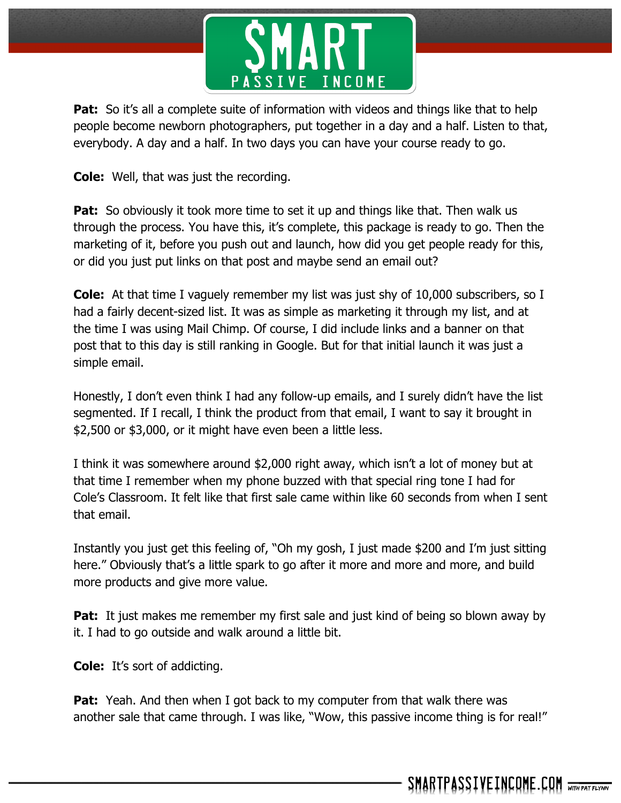

**Pat:** So it's all a complete suite of information with videos and things like that to help people become newborn photographers, put together in a day and a half. Listen to that, everybody. A day and a half. In two days you can have your course ready to go.

**Cole:** Well, that was just the recording.

**Pat:** So obviously it took more time to set it up and things like that. Then walk us through the process. You have this, it's complete, this package is ready to go. Then the marketing of it, before you push out and launch, how did you get people ready for this, or did you just put links on that post and maybe send an email out?

**Cole:** At that time I vaguely remember my list was just shy of 10,000 subscribers, so I had a fairly decent-sized list. It was as simple as marketing it through my list, and at the time I was using Mail Chimp. Of course, I did include links and a banner on that post that to this day is still ranking in Google. But for that initial launch it was just a simple email.

Honestly, I don't even think I had any follow-up emails, and I surely didn't have the list segmented. If I recall, I think the product from that email, I want to say it brought in \$2,500 or \$3,000, or it might have even been a little less.

I think it was somewhere around \$2,000 right away, which isn't a lot of money but at that time I remember when my phone buzzed with that special ring tone I had for Cole's Classroom. It felt like that first sale came within like 60 seconds from when I sent that email.

Instantly you just get this feeling of, "Oh my gosh, I just made \$200 and I'm just sitting here." Obviously that's a little spark to go after it more and more and more, and build more products and give more value.

**Pat:** It just makes me remember my first sale and just kind of being so blown away by it. I had to go outside and walk around a little bit.

**Cole:** It's sort of addicting.

**Pat:** Yeah. And then when I got back to my computer from that walk there was another sale that came through. I was like, "Wow, this passive income thing is for real!"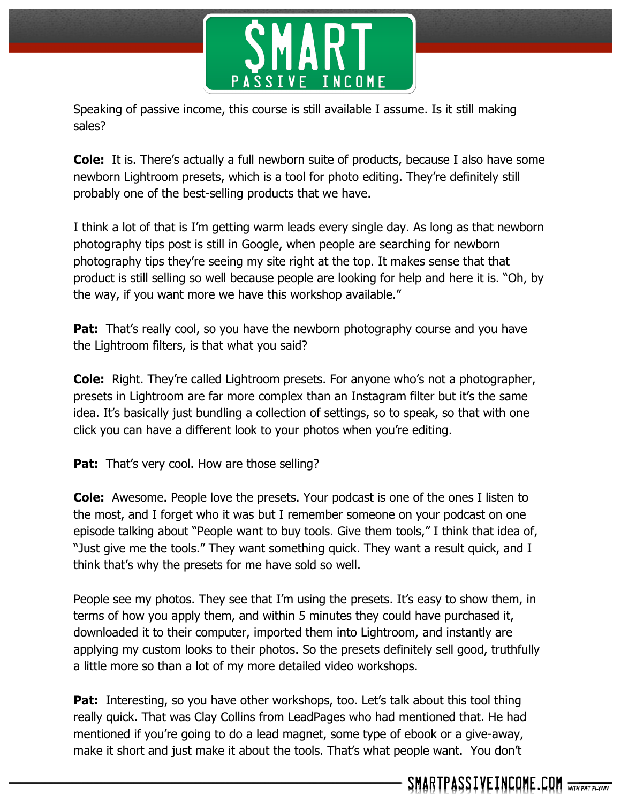

Speaking of passive income, this course is still available I assume. Is it still making sales?

**Cole:** It is. There's actually a full newborn suite of products, because I also have some newborn Lightroom presets, which is a tool for photo editing. They're definitely still probably one of the best-selling products that we have.

I think a lot of that is I'm getting warm leads every single day. As long as that newborn photography tips post is still in Google, when people are searching for newborn photography tips they're seeing my site right at the top. It makes sense that that product is still selling so well because people are looking for help and here it is. "Oh, by the way, if you want more we have this workshop available."

**Pat:** That's really cool, so you have the newborn photography course and you have the Lightroom filters, is that what you said?

**Cole:** Right. They're called Lightroom presets. For anyone who's not a photographer, presets in Lightroom are far more complex than an Instagram filter but it's the same idea. It's basically just bundling a collection of settings, so to speak, so that with one click you can have a different look to your photos when you're editing.

Pat: That's very cool. How are those selling?

**Cole:** Awesome. People love the presets. Your podcast is one of the ones I listen to the most, and I forget who it was but I remember someone on your podcast on one episode talking about "People want to buy tools. Give them tools," I think that idea of, "Just give me the tools." They want something quick. They want a result quick, and I think that's why the presets for me have sold so well.

People see my photos. They see that I'm using the presets. It's easy to show them, in terms of how you apply them, and within 5 minutes they could have purchased it, downloaded it to their computer, imported them into Lightroom, and instantly are applying my custom looks to their photos. So the presets definitely sell good, truthfully a little more so than a lot of my more detailed video workshops.

**Pat:** Interesting, so you have other workshops, too. Let's talk about this tool thing really quick. That was Clay Collins from LeadPages who had mentioned that. He had mentioned if you're going to do a lead magnet, some type of ebook or a give-away, make it short and just make it about the tools. That's what people want. You don't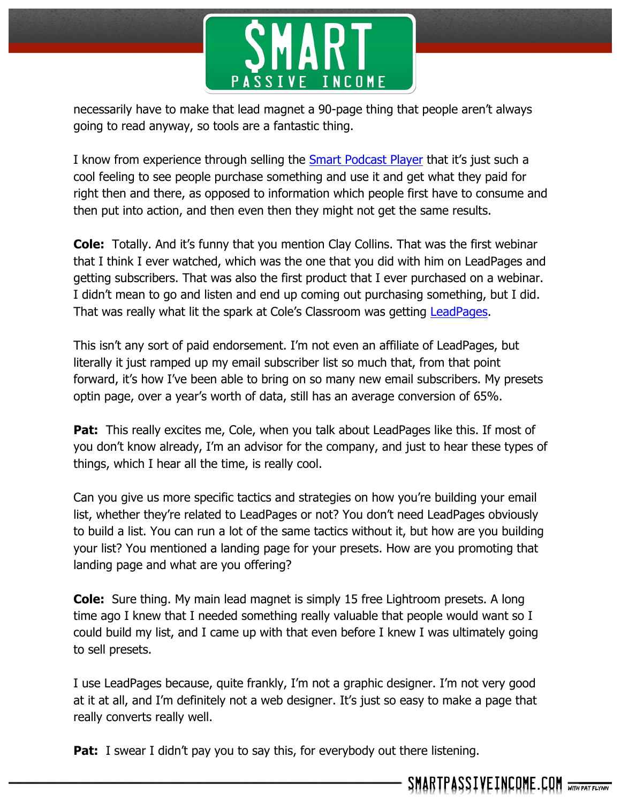

necessarily have to make that lead magnet a 90-page thing that people aren't always going to read anyway, so tools are a fantastic thing.

I know from experience through selling the **Smart Podcast Player that it's just such a** cool feeling to see people purchase something and use it and get what they paid for right then and there, as opposed to information which people first have to consume and then put into action, and then even then they might not get the same results.

**Cole:** Totally. And it's funny that you mention Clay Collins. That was the first webinar that I think I ever watched, which was the one that you did with him on LeadPages and getting subscribers. That was also the first product that I ever purchased on a webinar. I didn't mean to go and listen and end up coming out purchasing something, but I did. That was really what lit the spark at Cole's Classroom was getting **LeadPages**.

This isn't any sort of paid endorsement. I'm not even an affiliate of LeadPages, but literally it just ramped up my email subscriber list so much that, from that point forward, it's how I've been able to bring on so many new email subscribers. My presets optin page, over a year's worth of data, still has an average conversion of 65%.

**Pat:** This really excites me, Cole, when you talk about LeadPages like this. If most of you don't know already, I'm an advisor for the company, and just to hear these types of things, which I hear all the time, is really cool.

Can you give us more specific tactics and strategies on how you're building your email list, whether they're related to LeadPages or not? You don't need LeadPages obviously to build a list. You can run a lot of the same tactics without it, but how are you building your list? You mentioned a landing page for your presets. How are you promoting that landing page and what are you offering?

**Cole:** Sure thing. My main lead magnet is simply 15 free Lightroom presets. A long time ago I knew that I needed something really valuable that people would want so I could build my list, and I came up with that even before I knew I was ultimately going to sell presets.

I use LeadPages because, quite frankly, I'm not a graphic designer. I'm not very good at it at all, and I'm definitely not a web designer. It's just so easy to make a page that really converts really well.

**Pat:** I swear I didn't pay you to say this, for everybody out there listening.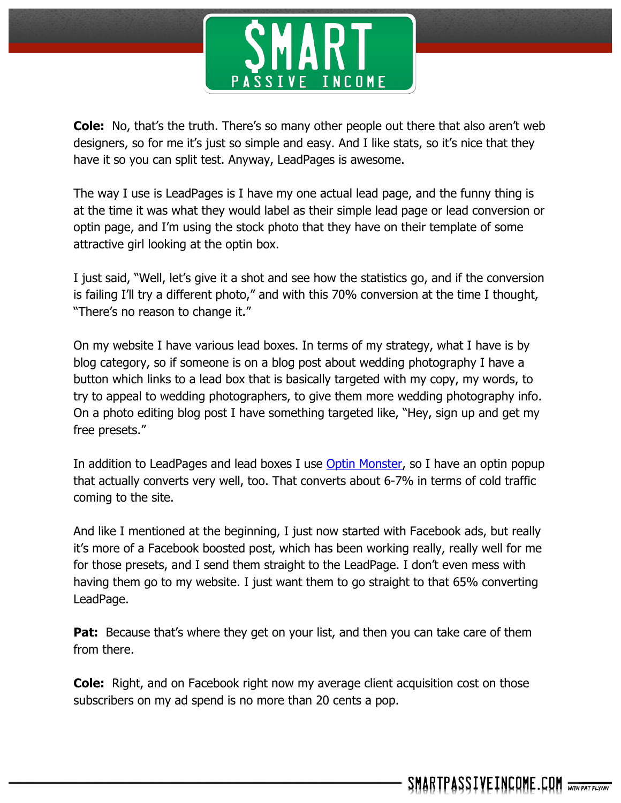

**Cole:** No, that's the truth. There's so many other people out there that also aren't web designers, so for me it's just so simple and easy. And I like stats, so it's nice that they have it so you can split test. Anyway, LeadPages is awesome.

The way I use is LeadPages is I have my one actual lead page, and the funny thing is at the time it was what they would label as their simple lead page or lead conversion or optin page, and I'm using the stock photo that they have on their template of some attractive girl looking at the optin box.

I just said, "Well, let's give it a shot and see how the statistics go, and if the conversion is failing I'll try a different photo," and with this 70% conversion at the time I thought, "There's no reason to change it."

On my website I have various lead boxes. In terms of my strategy, what I have is by blog category, so if someone is on a blog post about wedding photography I have a button which links to a lead box that is basically targeted with my copy, my words, to try to appeal to wedding photographers, to give them more wedding photography info. On a photo editing blog post I have something targeted like, "Hey, sign up and get my free presets."

In addition to LeadPages and lead boxes I use Optin Monster, so I have an optin popup that actually converts very well, too. That converts about 6-7% in terms of cold traffic coming to the site.

And like I mentioned at the beginning, I just now started with Facebook ads, but really it's more of a Facebook boosted post, which has been working really, really well for me for those presets, and I send them straight to the LeadPage. I don't even mess with having them go to my website. I just want them to go straight to that 65% converting LeadPage.

**Pat:** Because that's where they get on your list, and then you can take care of them from there.

**Cole:** Right, and on Facebook right now my average client acquisition cost on those subscribers on my ad spend is no more than 20 cents a pop.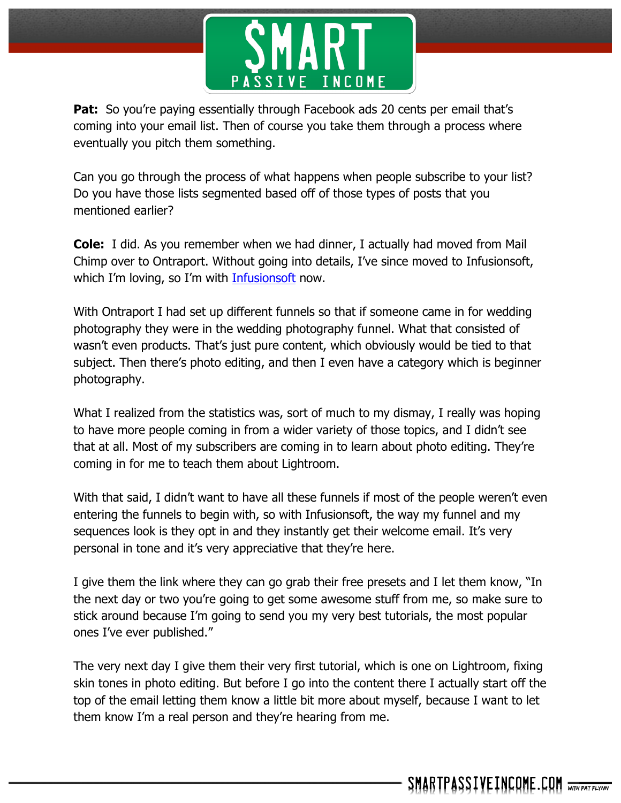

**Pat:** So you're paying essentially through Facebook ads 20 cents per email that's coming into your email list. Then of course you take them through a process where eventually you pitch them something.

Can you go through the process of what happens when people subscribe to your list? Do you have those lists segmented based off of those types of posts that you mentioned earlier?

**Cole:** I did. As you remember when we had dinner, I actually had moved from Mail Chimp over to Ontraport. Without going into details, I've since moved to Infusionsoft, which I'm loving, so I'm with Infusionsoft now.

With Ontraport I had set up different funnels so that if someone came in for wedding photography they were in the wedding photography funnel. What that consisted of wasn't even products. That's just pure content, which obviously would be tied to that subject. Then there's photo editing, and then I even have a category which is beginner photography.

What I realized from the statistics was, sort of much to my dismay, I really was hoping to have more people coming in from a wider variety of those topics, and I didn't see that at all. Most of my subscribers are coming in to learn about photo editing. They're coming in for me to teach them about Lightroom.

With that said, I didn't want to have all these funnels if most of the people weren't even entering the funnels to begin with, so with Infusionsoft, the way my funnel and my sequences look is they opt in and they instantly get their welcome email. It's very personal in tone and it's very appreciative that they're here.

I give them the link where they can go grab their free presets and I let them know, "In the next day or two you're going to get some awesome stuff from me, so make sure to stick around because I'm going to send you my very best tutorials, the most popular ones I've ever published."

The very next day I give them their very first tutorial, which is one on Lightroom, fixing skin tones in photo editing. But before I go into the content there I actually start off the top of the email letting them know a little bit more about myself, because I want to let them know I'm a real person and they're hearing from me.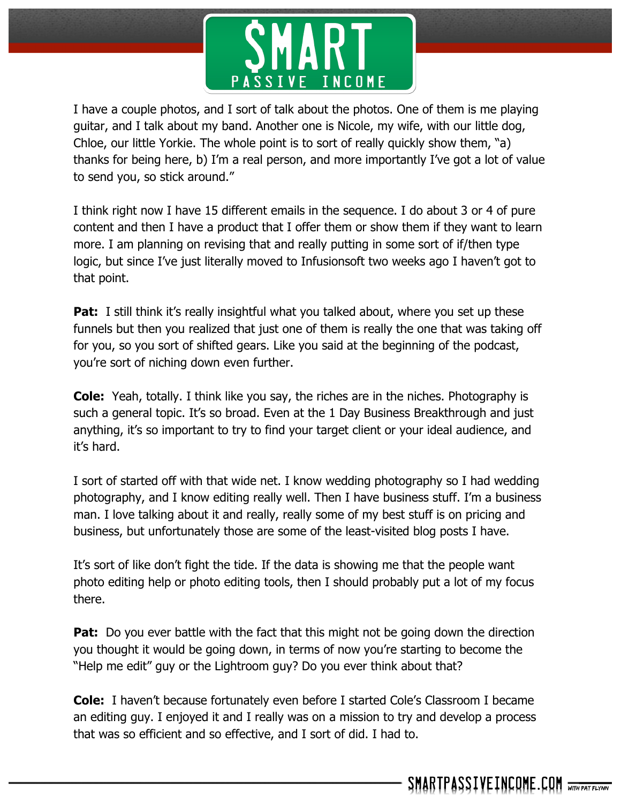

I have a couple photos, and I sort of talk about the photos. One of them is me playing guitar, and I talk about my band. Another one is Nicole, my wife, with our little dog, Chloe, our little Yorkie. The whole point is to sort of really quickly show them, "a) thanks for being here, b) I'm a real person, and more importantly I've got a lot of value to send you, so stick around."

I think right now I have 15 different emails in the sequence. I do about 3 or 4 of pure content and then I have a product that I offer them or show them if they want to learn more. I am planning on revising that and really putting in some sort of if/then type logic, but since I've just literally moved to Infusionsoft two weeks ago I haven't got to that point.

**Pat:** I still think it's really insightful what you talked about, where you set up these funnels but then you realized that just one of them is really the one that was taking off for you, so you sort of shifted gears. Like you said at the beginning of the podcast, you're sort of niching down even further.

**Cole:** Yeah, totally. I think like you say, the riches are in the niches. Photography is such a general topic. It's so broad. Even at the 1 Day Business Breakthrough and just anything, it's so important to try to find your target client or your ideal audience, and it's hard.

I sort of started off with that wide net. I know wedding photography so I had wedding photography, and I know editing really well. Then I have business stuff. I'm a business man. I love talking about it and really, really some of my best stuff is on pricing and business, but unfortunately those are some of the least-visited blog posts I have.

It's sort of like don't fight the tide. If the data is showing me that the people want photo editing help or photo editing tools, then I should probably put a lot of my focus there.

**Pat:** Do you ever battle with the fact that this might not be going down the direction you thought it would be going down, in terms of now you're starting to become the "Help me edit" guy or the Lightroom guy? Do you ever think about that?

**Cole:** I haven't because fortunately even before I started Cole's Classroom I became an editing guy. I enjoyed it and I really was on a mission to try and develop a process that was so efficient and so effective, and I sort of did. I had to.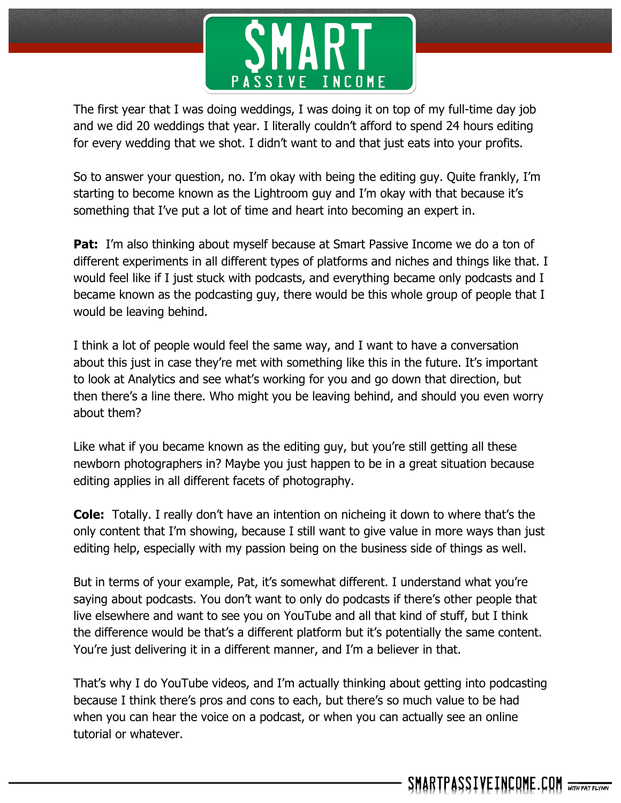

The first year that I was doing weddings, I was doing it on top of my full-time day job and we did 20 weddings that year. I literally couldn't afford to spend 24 hours editing for every wedding that we shot. I didn't want to and that just eats into your profits.

So to answer your question, no. I'm okay with being the editing guy. Quite frankly, I'm starting to become known as the Lightroom guy and I'm okay with that because it's something that I've put a lot of time and heart into becoming an expert in.

**Pat:** I'm also thinking about myself because at Smart Passive Income we do a ton of different experiments in all different types of platforms and niches and things like that. I would feel like if I just stuck with podcasts, and everything became only podcasts and I became known as the podcasting guy, there would be this whole group of people that I would be leaving behind.

I think a lot of people would feel the same way, and I want to have a conversation about this just in case they're met with something like this in the future. It's important to look at Analytics and see what's working for you and go down that direction, but then there's a line there. Who might you be leaving behind, and should you even worry about them?

Like what if you became known as the editing guy, but you're still getting all these newborn photographers in? Maybe you just happen to be in a great situation because editing applies in all different facets of photography.

**Cole:** Totally. I really don't have an intention on nicheing it down to where that's the only content that I'm showing, because I still want to give value in more ways than just editing help, especially with my passion being on the business side of things as well.

But in terms of your example, Pat, it's somewhat different. I understand what you're saying about podcasts. You don't want to only do podcasts if there's other people that live elsewhere and want to see you on YouTube and all that kind of stuff, but I think the difference would be that's a different platform but it's potentially the same content. You're just delivering it in a different manner, and I'm a believer in that.

That's why I do YouTube videos, and I'm actually thinking about getting into podcasting because I think there's pros and cons to each, but there's so much value to be had when you can hear the voice on a podcast, or when you can actually see an online tutorial or whatever.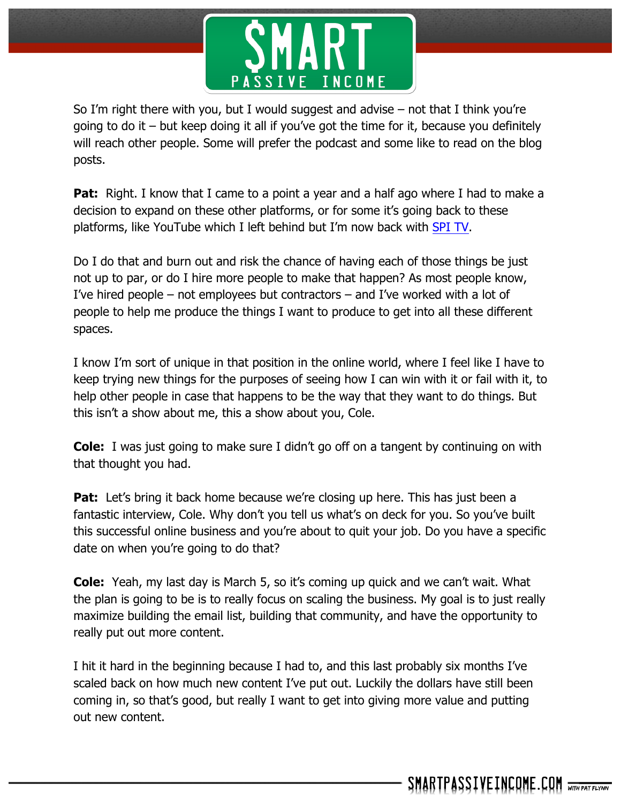

So I'm right there with you, but I would suggest and advise – not that I think you're going to do it – but keep doing it all if you've got the time for it, because you definitely will reach other people. Some will prefer the podcast and some like to read on the blog posts.

**Pat:** Right. I know that I came to a point a year and a half ago where I had to make a decision to expand on these other platforms, or for some it's going back to these platforms, like YouTube which I left behind but I'm now back with SPI TV.

Do I do that and burn out and risk the chance of having each of those things be just not up to par, or do I hire more people to make that happen? As most people know, I've hired people – not employees but contractors – and I've worked with a lot of people to help me produce the things I want to produce to get into all these different spaces.

I know I'm sort of unique in that position in the online world, where I feel like I have to keep trying new things for the purposes of seeing how I can win with it or fail with it, to help other people in case that happens to be the way that they want to do things. But this isn't a show about me, this a show about you, Cole.

**Cole:** I was just going to make sure I didn't go off on a tangent by continuing on with that thought you had.

**Pat:** Let's bring it back home because we're closing up here. This has just been a fantastic interview, Cole. Why don't you tell us what's on deck for you. So you've built this successful online business and you're about to quit your job. Do you have a specific date on when you're going to do that?

**Cole:** Yeah, my last day is March 5, so it's coming up quick and we can't wait. What the plan is going to be is to really focus on scaling the business. My goal is to just really maximize building the email list, building that community, and have the opportunity to really put out more content.

I hit it hard in the beginning because I had to, and this last probably six months I've scaled back on how much new content I've put out. Luckily the dollars have still been coming in, so that's good, but really I want to get into giving more value and putting out new content.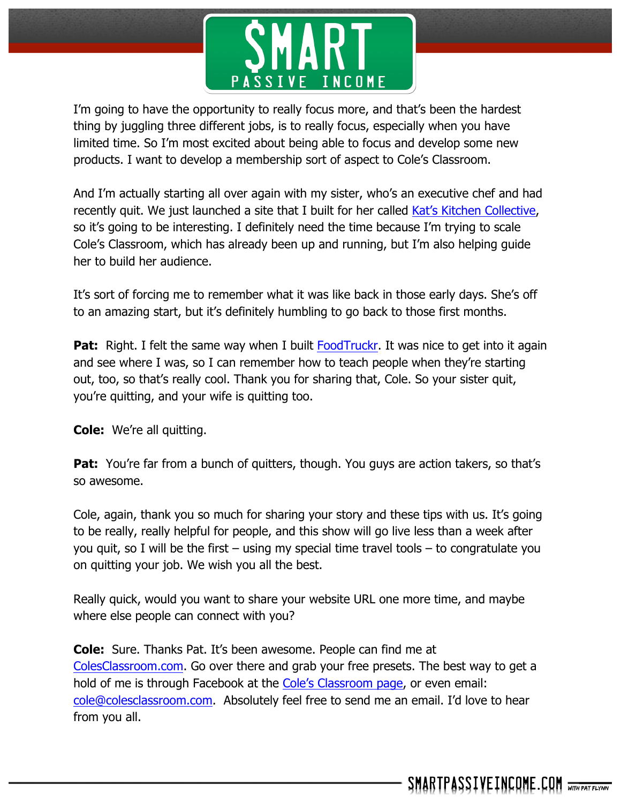

I'm going to have the opportunity to really focus more, and that's been the hardest thing by juggling three different jobs, is to really focus, especially when you have limited time. So I'm most excited about being able to focus and develop some new products. I want to develop a membership sort of aspect to Cole's Classroom.

And I'm actually starting all over again with my sister, who's an executive chef and had recently quit. We just launched a site that I built for her called Kat's Kitchen Collective, so it's going to be interesting. I definitely need the time because I'm trying to scale Cole's Classroom, which has already been up and running, but I'm also helping guide her to build her audience.

It's sort of forcing me to remember what it was like back in those early days. She's off to an amazing start, but it's definitely humbling to go back to those first months.

**Pat:** Right. I felt the same way when I built FoodTruckr. It was nice to get into it again and see where I was, so I can remember how to teach people when they're starting out, too, so that's really cool. Thank you for sharing that, Cole. So your sister quit, you're quitting, and your wife is quitting too.

**Cole:** We're all quitting.

**Pat:** You're far from a bunch of quitters, though. You guys are action takers, so that's so awesome.

Cole, again, thank you so much for sharing your story and these tips with us. It's going to be really, really helpful for people, and this show will go live less than a week after you quit, so I will be the first – using my special time travel tools – to congratulate you on quitting your job. We wish you all the best.

Really quick, would you want to share your website URL one more time, and maybe where else people can connect with you?

**Cole:** Sure. Thanks Pat. It's been awesome. People can find me at ColesClassroom.com. Go over there and grab your free presets. The best way to get a hold of me is through Facebook at the Cole's Classroom page, or even email: cole@colesclassroom.com. Absolutely feel free to send me an email. I'd love to hear from you all.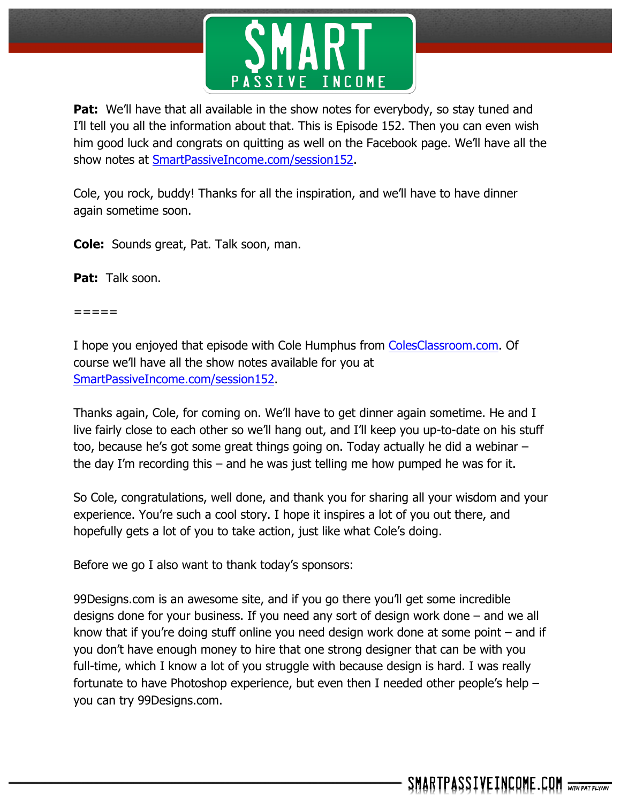

**Pat:** We'll have that all available in the show notes for everybody, so stay tuned and I'll tell you all the information about that. This is Episode 152. Then you can even wish him good luck and congrats on quitting as well on the Facebook page. We'll have all the show notes at SmartPassiveIncome.com/session152.

Cole, you rock, buddy! Thanks for all the inspiration, and we'll have to have dinner again sometime soon.

**Cole:** Sounds great, Pat. Talk soon, man.

Pat: Talk soon.

=====

I hope you enjoyed that episode with Cole Humphus from ColesClassroom.com. Of course we'll have all the show notes available for you at SmartPassiveIncome.com/session152.

Thanks again, Cole, for coming on. We'll have to get dinner again sometime. He and I live fairly close to each other so we'll hang out, and I'll keep you up-to-date on his stuff too, because he's got some great things going on. Today actually he did a webinar – the day I'm recording this – and he was just telling me how pumped he was for it.

So Cole, congratulations, well done, and thank you for sharing all your wisdom and your experience. You're such a cool story. I hope it inspires a lot of you out there, and hopefully gets a lot of you to take action, just like what Cole's doing.

Before we go I also want to thank today's sponsors:

99Designs.com is an awesome site, and if you go there you'll get some incredible designs done for your business. If you need any sort of design work done – and we all know that if you're doing stuff online you need design work done at some point  $-$  and if you don't have enough money to hire that one strong designer that can be with you full-time, which I know a lot of you struggle with because design is hard. I was really fortunate to have Photoshop experience, but even then I needed other people's help – you can try 99Designs.com.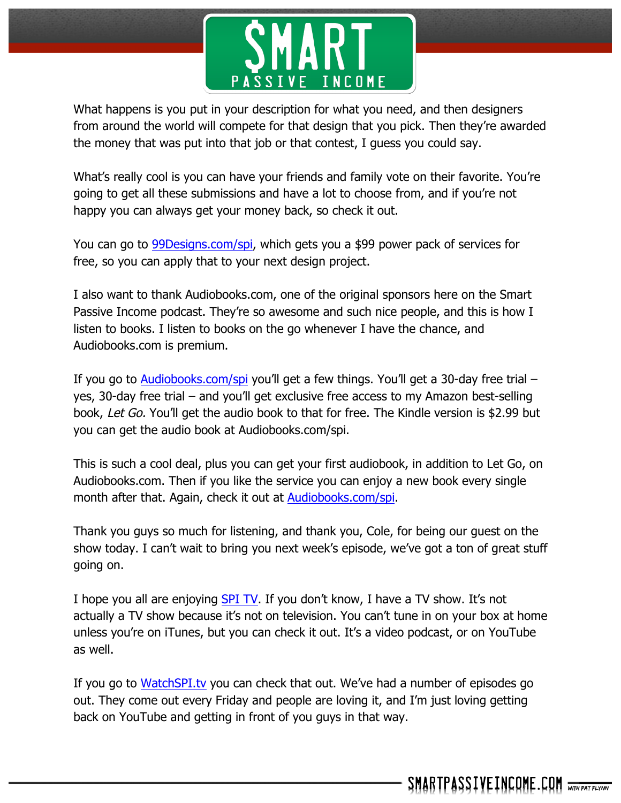

What happens is you put in your description for what you need, and then designers from around the world will compete for that design that you pick. Then they're awarded the money that was put into that job or that contest, I guess you could say.

What's really cool is you can have your friends and family vote on their favorite. You're going to get all these submissions and have a lot to choose from, and if you're not happy you can always get your money back, so check it out.

You can go to 99Designs.com/spi, which gets you a \$99 power pack of services for free, so you can apply that to your next design project.

I also want to thank Audiobooks.com, one of the original sponsors here on the Smart Passive Income podcast. They're so awesome and such nice people, and this is how I listen to books. I listen to books on the go whenever I have the chance, and Audiobooks.com is premium.

If you go to Audiobooks.com/spi you'll get a few things. You'll get a 30-day free trial  $$ yes, 30-day free trial – and you'll get exclusive free access to my Amazon best-selling book, Let Go. You'll get the audio book to that for free. The Kindle version is \$2.99 but you can get the audio book at Audiobooks.com/spi.

This is such a cool deal, plus you can get your first audiobook, in addition to Let Go, on Audiobooks.com. Then if you like the service you can enjoy a new book every single month after that. Again, check it out at Audiobooks.com/spi.

Thank you guys so much for listening, and thank you, Cole, for being our guest on the show today. I can't wait to bring you next week's episode, we've got a ton of great stuff going on.

I hope you all are enjoying SPI TV. If you don't know, I have a TV show. It's not actually a TV show because it's not on television. You can't tune in on your box at home unless you're on iTunes, but you can check it out. It's a video podcast, or on YouTube as well.

If you go to WatchSPI.tv you can check that out. We've had a number of episodes go out. They come out every Friday and people are loving it, and I'm just loving getting back on YouTube and getting in front of you guys in that way.